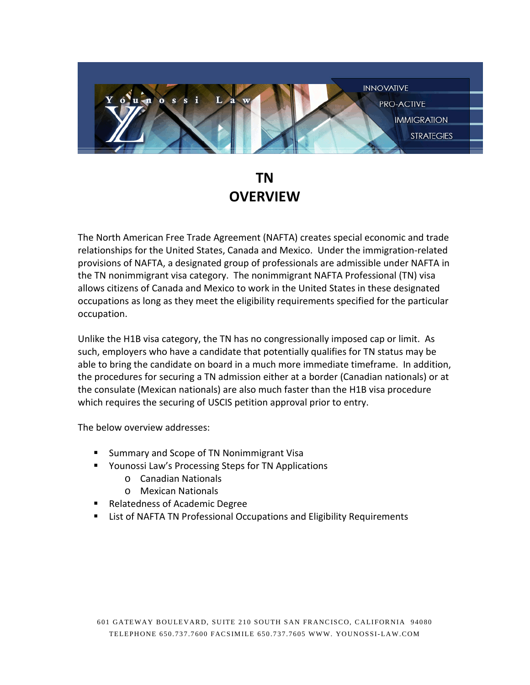

# **TN OVERVIEW**

The North American Free Trade Agreement (NAFTA) creates special economic and trade relationships for the United States, Canada and Mexico. Under the immigration-related provisions of NAFTA, a designated group of professionals are admissible under NAFTA in the TN nonimmigrant visa category. The nonimmigrant NAFTA Professional (TN) visa allows citizens of Canada and Mexico to work in the United States in these designated occupations as long as they meet the eligibility requirements specified for the particular occupation.

Unlike the H1B visa category, the TN has no congressionally imposed cap or limit. As such, employers who have a candidate that potentially qualifies for TN status may be able to bring the candidate on board in a much more immediate timeframe. In addition, the procedures for securing a TN admission either at a border (Canadian nationals) or at the consulate (Mexican nationals) are also much faster than the H1B visa procedure which requires the securing of USCIS petition approval prior to entry.

The below overview addresses:

- **E** Summary and Scope of TN Nonimmigrant Visa
- **The Steps Follows** Processing Steps for TN Applications
	- o Canadian Nationals
	- o Mexican Nationals
- Relatedness of Academic Degree
- List of NAFTA TN Professional Occupations and Eligibility Requirements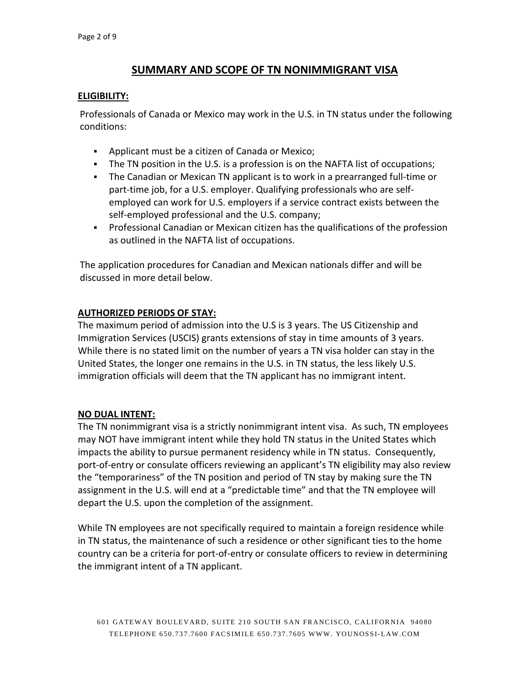# **SUMMARY AND SCOPE OF TN NONIMMIGRANT VISA**

#### **ELIGIBILITY:**

Professionals of Canada or Mexico may work in the U.S. in TN status under the following conditions:

- Applicant must be a citizen of Canada or Mexico;
- The TN position in the U.S. is a profession is on the NAFTA list of occupations;
- The Canadian or Mexican TN applicant is to work in a prearranged full-time or part-time job, for a U.S. employer. Qualifying professionals who are selfemployed can work for U.S. employers if a service contract exists between the self-employed professional and the U.S. company;
- Professional Canadian or Mexican citizen has the qualifications of the profession as outlined in the NAFTA list of occupations.

The application procedures for Canadian and Mexican nationals differ and will be discussed in more detail below.

#### **AUTHORIZED PERIODS OF STAY:**

The maximum period of admission into the U.S is 3 years. The US Citizenship and Immigration Services (USCIS) grants extensions of stay in time amounts of 3 years. While there is no stated limit on the number of years a TN visa holder can stay in the United States, the longer one remains in the U.S. in TN status, the less likely U.S. immigration officials will deem that the TN applicant has no immigrant intent.

#### **NO DUAL INTENT:**

The TN nonimmigrant visa is a strictly nonimmigrant intent visa. As such, TN employees may NOT have immigrant intent while they hold TN status in the United States which impacts the ability to pursue permanent residency while in TN status. Consequently, port-of-entry or consulate officers reviewing an applicant's TN eligibility may also review the "temporariness" of the TN position and period of TN stay by making sure the TN assignment in the U.S. will end at a "predictable time" and that the TN employee will depart the U.S. upon the completion of the assignment.

While TN employees are not specifically required to maintain a foreign residence while in TN status, the maintenance of such a residence or other significant ties to the home country can be a criteria for port-of-entry or consulate officers to review in determining the immigrant intent of a TN applicant.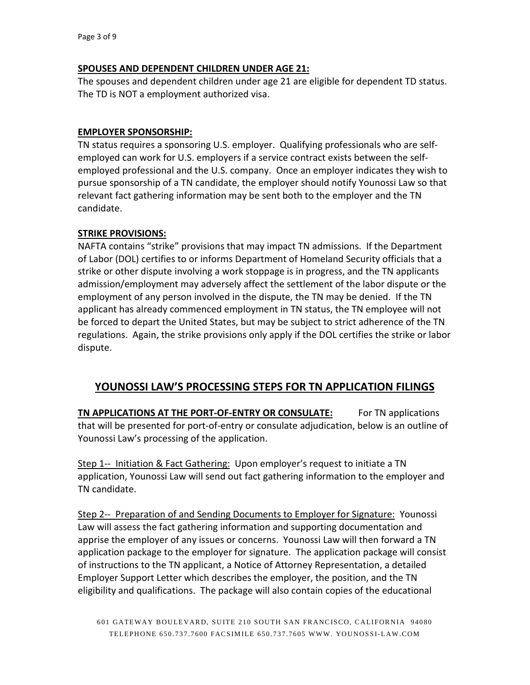#### **SPOUSES AND DEPENDENT CHILDREN UNDER AGE 21:**

The spouses and dependent children under age 21 are eligible for dependent TD status. The TD is NOT a employment authorized visa.

### **EMPLOYER SPONSORSHIP:**

TN status requires a sponsoring U.S. employer. Qualifying professionals who are selfemployed can work for U.S. employers if a service contract exists between the selfemployed professional and the U.S. company. Once an employer indicates they wish to pursue sponsorship of a TN candidate, the employer should notify Younossi Law so that relevant fact gathering information may be sent both to the employer and the TN candidate.

## **STRIKE PROVISIONS:**

NAFTA contains "strike" provisions that may impact TN admissions. If the Department of Labor (DOL) certifies to or informs Department of Homeland Security officials that a strike or other dispute involving a work stoppage is in progress, and the TN applicants admission/employment may adversely affect the settlement of the labor dispute or the employment of any person involved in the dispute, the TN may be denied. If the TN applicant has already commenced employment in TN status, the TN employee will not be forced to depart the United States, but may be subject to strict adherence of the TN regulations. Again, the strike provisions only apply if the DOL certifies the strike or labor dispute.

# **YOUNOSSI LAW'S PROCESSING STEPS FOR TN APPLICATION FILINGS**

**TN APPLICATIONS AT THE PORT-OF-ENTRY OR CONSULATE:** For TN applications that will be presented for port-of-entry or consulate adjudication, below is an outline of Younossi Law's processing of the application.

Step 1-- Initiation & Fact Gathering: Upon employer's request to initiate a TN application, Younossi Law will send out fact gathering information to the employer and TN candidate.

Step 2-- Preparation of and Sending Documents to Employer for Signature: Younossi Law will assess the fact gathering information and supporting documentation and apprise the employer of any issues or concerns. Younossi Law will then forward a TN application package to the employer for signature. The application package will consist of instructions to the TN applicant, a Notice of Attorney Representation, a detailed Employer Support Letter which describes the employer, the position, and the TN eligibility and qualifications. The package will also contain copies of the educational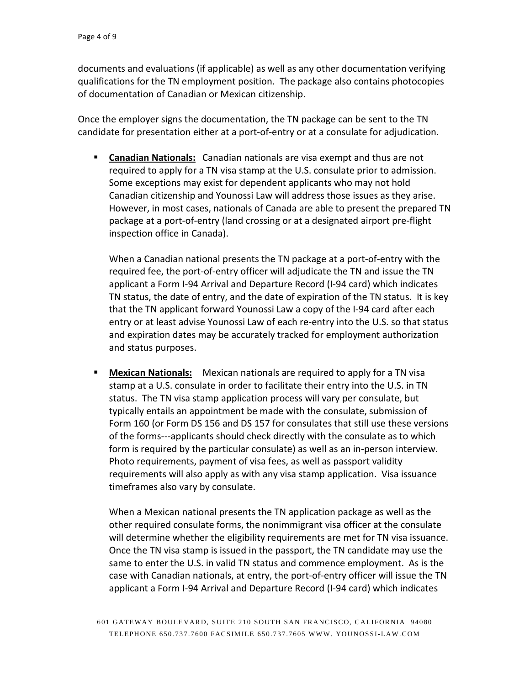documents and evaluations (if applicable) as well as any other documentation verifying qualifications for the TN employment position. The package also contains photocopies of documentation of Canadian or Mexican citizenship.

Once the employer signs the documentation, the TN package can be sent to the TN candidate for presentation either at a port-of-entry or at a consulate for adjudication.

**Canadian Nationals:** Canadian nationals are visa exempt and thus are not required to apply for a TN visa stamp at the U.S. consulate prior to admission. Some exceptions may exist for dependent applicants who may not hold Canadian citizenship and Younossi Law will address those issues as they arise. However, in most cases, nationals of Canada are able to present the prepared TN package at a port-of-entry (land crossing or at a designated airport pre-flight inspection office in Canada).

When a Canadian national presents the TN package at a port-of-entry with the required fee, the port-of-entry officer will adjudicate the TN and issue the TN applicant a Form I-94 Arrival and Departure Record (I-94 card) which indicates TN status, the date of entry, and the date of expiration of the TN status. It is key that the TN applicant forward Younossi Law a copy of the I-94 card after each entry or at least advise Younossi Law of each re-entry into the U.S. so that status and expiration dates may be accurately tracked for employment authorization and status purposes.

 **Mexican Nationals:** Mexican nationals are required to apply for a TN visa stamp at a U.S. consulate in order to facilitate their entry into the U.S. in TN status. The TN visa stamp application process will vary per consulate, but typically entails an appointment be made with the consulate, submission of Form 160 (or Form DS 156 and DS 157 for consulates that still use these versions of the forms---applicants should check directly with the consulate as to which form is required by the particular consulate) as well as an in-person interview. Photo requirements, payment of visa fees, as well as passport validity requirements will also apply as with any visa stamp application. Visa issuance timeframes also vary by consulate.

When a Mexican national presents the TN application package as well as the other required consulate forms, the nonimmigrant visa officer at the consulate will determine whether the eligibility requirements are met for TN visa issuance. Once the TN visa stamp is issued in the passport, the TN candidate may use the same to enter the U.S. in valid TN status and commence employment. As is the case with Canadian nationals, at entry, the port-of-entry officer will issue the TN applicant a Form I-94 Arrival and Departure Record (I-94 card) which indicates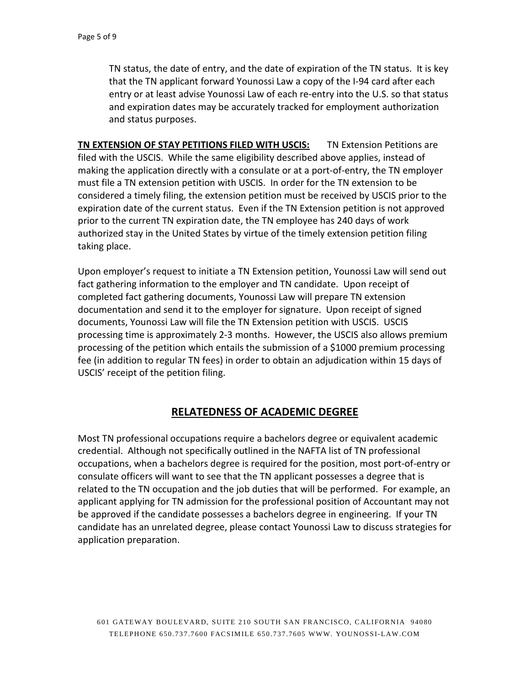TN status, the date of entry, and the date of expiration of the TN status. It is key that the TN applicant forward Younossi Law a copy of the I-94 card after each entry or at least advise Younossi Law of each re-entry into the U.S. so that status and expiration dates may be accurately tracked for employment authorization and status purposes.

**TN EXTENSION OF STAY PETITIONS FILED WITH USCIS:** TN Extension Petitions are filed with the USCIS. While the same eligibility described above applies, instead of making the application directly with a consulate or at a port-of-entry, the TN employer must file a TN extension petition with USCIS. In order for the TN extension to be considered a timely filing, the extension petition must be received by USCIS prior to the expiration date of the current status. Even if the TN Extension petition is not approved prior to the current TN expiration date, the TN employee has 240 days of work authorized stay in the United States by virtue of the timely extension petition filing taking place.

Upon employer's request to initiate a TN Extension petition, Younossi Law will send out fact gathering information to the employer and TN candidate. Upon receipt of completed fact gathering documents, Younossi Law will prepare TN extension documentation and send it to the employer for signature. Upon receipt of signed documents, Younossi Law will file the TN Extension petition with USCIS. USCIS processing time is approximately 2-3 months. However, the USCIS also allows premium processing of the petition which entails the submission of a \$1000 premium processing fee (in addition to regular TN fees) in order to obtain an adjudication within 15 days of USCIS' receipt of the petition filing.

# **RELATEDNESS OF ACADEMIC DEGREE**

Most TN professional occupations require a bachelors degree or equivalent academic credential. Although not specifically outlined in the NAFTA list of TN professional occupations, when a bachelors degree is required for the position, most port-of-entry or consulate officers will want to see that the TN applicant possesses a degree that is related to the TN occupation and the job duties that will be performed. For example, an applicant applying for TN admission for the professional position of Accountant may not be approved if the candidate possesses a bachelors degree in engineering. If your TN candidate has an unrelated degree, please contact Younossi Law to discuss strategies for application preparation.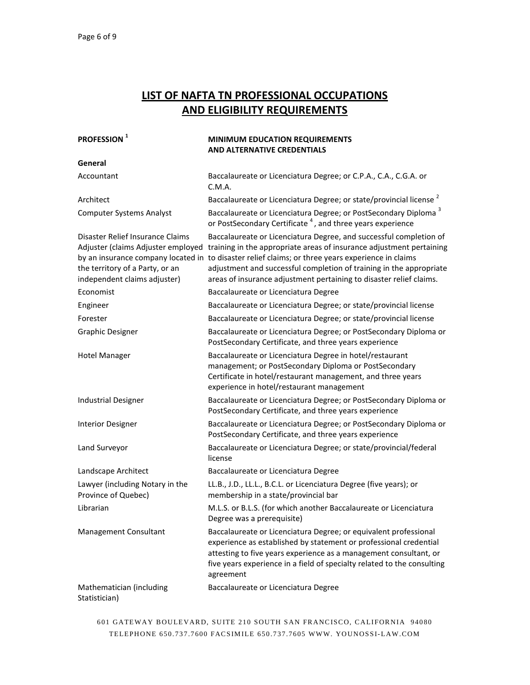# **LIST OF NAFTA TN PROFESSIONAL OCCUPATIONS AND ELIGIBILITY REQUIREMENTS**

| <b>PROFESSION</b> <sup>1</sup>                                                                                                            | <b>MINIMUM EDUCATION REQUIREMENTS</b><br><b>AND ALTERNATIVE CREDENTIALS</b>                                                                                                                                                                                                                                                                                                                   |
|-------------------------------------------------------------------------------------------------------------------------------------------|-----------------------------------------------------------------------------------------------------------------------------------------------------------------------------------------------------------------------------------------------------------------------------------------------------------------------------------------------------------------------------------------------|
| General                                                                                                                                   |                                                                                                                                                                                                                                                                                                                                                                                               |
| Accountant                                                                                                                                | Baccalaureate or Licenciatura Degree; or C.P.A., C.A., C.G.A. or<br>C.M.A.                                                                                                                                                                                                                                                                                                                    |
| Architect                                                                                                                                 | Baccalaureate or Licenciatura Degree; or state/provincial license <sup>2</sup>                                                                                                                                                                                                                                                                                                                |
| <b>Computer Systems Analyst</b>                                                                                                           | Baccalaureate or Licenciatura Degree; or PostSecondary Diploma <sup>3</sup><br>or PostSecondary Certificate <sup>4</sup> , and three years experience                                                                                                                                                                                                                                         |
| Disaster Relief Insurance Claims<br>Adjuster (claims Adjuster employed<br>the territory of a Party, or an<br>independent claims adjuster) | Baccalaureate or Licenciatura Degree, and successful completion of<br>training in the appropriate areas of insurance adjustment pertaining<br>by an insurance company located in to disaster relief claims; or three years experience in claims<br>adjustment and successful completion of training in the appropriate<br>areas of insurance adjustment pertaining to disaster relief claims. |
| Economist                                                                                                                                 | Baccalaureate or Licenciatura Degree                                                                                                                                                                                                                                                                                                                                                          |
| Engineer                                                                                                                                  | Baccalaureate or Licenciatura Degree; or state/provincial license                                                                                                                                                                                                                                                                                                                             |
| Forester                                                                                                                                  | Baccalaureate or Licenciatura Degree; or state/provincial license                                                                                                                                                                                                                                                                                                                             |
| <b>Graphic Designer</b>                                                                                                                   | Baccalaureate or Licenciatura Degree; or PostSecondary Diploma or<br>PostSecondary Certificate, and three years experience                                                                                                                                                                                                                                                                    |
| <b>Hotel Manager</b>                                                                                                                      | Baccalaureate or Licenciatura Degree in hotel/restaurant<br>management; or PostSecondary Diploma or PostSecondary<br>Certificate in hotel/restaurant management, and three years<br>experience in hotel/restaurant management                                                                                                                                                                 |
| <b>Industrial Designer</b>                                                                                                                | Baccalaureate or Licenciatura Degree; or PostSecondary Diploma or<br>PostSecondary Certificate, and three years experience                                                                                                                                                                                                                                                                    |
| <b>Interior Designer</b>                                                                                                                  | Baccalaureate or Licenciatura Degree; or PostSecondary Diploma or<br>PostSecondary Certificate, and three years experience                                                                                                                                                                                                                                                                    |
| Land Surveyor                                                                                                                             | Baccalaureate or Licenciatura Degree; or state/provincial/federal<br>license                                                                                                                                                                                                                                                                                                                  |
| Landscape Architect                                                                                                                       | Baccalaureate or Licenciatura Degree                                                                                                                                                                                                                                                                                                                                                          |
| Lawyer (including Notary in the<br>Province of Quebec)                                                                                    | LL.B., J.D., LL.L., B.C.L. or Licenciatura Degree (five years); or<br>membership in a state/provincial bar                                                                                                                                                                                                                                                                                    |
| Librarian                                                                                                                                 | M.L.S. or B.L.S. (for which another Baccalaureate or Licenciatura<br>Degree was a prerequisite)                                                                                                                                                                                                                                                                                               |
| Management Consultant                                                                                                                     | Baccalaureate or Licenciatura Degree; or equivalent professional<br>experience as established by statement or professional credential<br>attesting to five years experience as a management consultant, or<br>five years experience in a field of specialty related to the consulting<br>agreement                                                                                            |
| Mathematician (including<br>Statistician)                                                                                                 | Baccalaureate or Licenciatura Degree                                                                                                                                                                                                                                                                                                                                                          |

601 GATEWAY BOULEVARD, SUITE 210 SOUTH SAN FRANCISCO, CALIFORNIA 94080 TELEPHONE 650.737.7600 FACSIMILE 650.737 .7605 WWW. YOUNOSSI-LAW.COM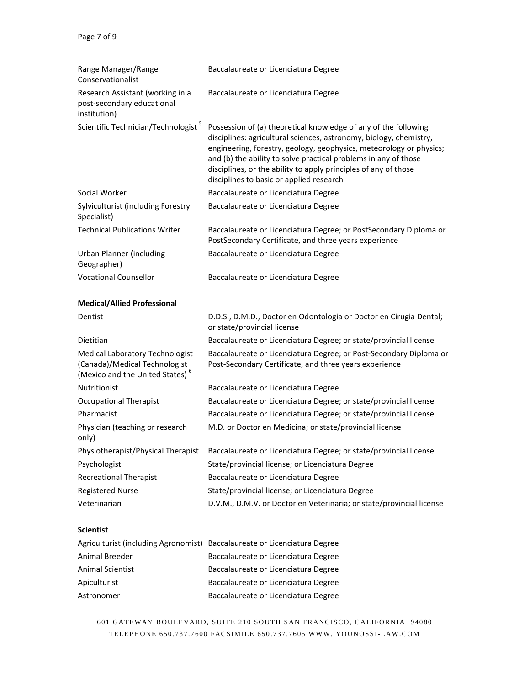| Range Manager/Range<br>Conservationalist                                                                               | Baccalaureate or Licenciatura Degree                                                                                                                                                                                                                                                                                                                                                           |
|------------------------------------------------------------------------------------------------------------------------|------------------------------------------------------------------------------------------------------------------------------------------------------------------------------------------------------------------------------------------------------------------------------------------------------------------------------------------------------------------------------------------------|
| Research Assistant (working in a<br>post-secondary educational<br>institution)                                         | Baccalaureate or Licenciatura Degree                                                                                                                                                                                                                                                                                                                                                           |
| Scientific Technician/Technologist <sup>5</sup>                                                                        | Possession of (a) theoretical knowledge of any of the following<br>disciplines: agricultural sciences, astronomy, biology, chemistry,<br>engineering, forestry, geology, geophysics, meteorology or physics;<br>and (b) the ability to solve practical problems in any of those<br>disciplines, or the ability to apply principles of any of those<br>disciplines to basic or applied research |
| Social Worker                                                                                                          | Baccalaureate or Licenciatura Degree                                                                                                                                                                                                                                                                                                                                                           |
| Sylviculturist (including Forestry<br>Specialist)                                                                      | Baccalaureate or Licenciatura Degree                                                                                                                                                                                                                                                                                                                                                           |
| <b>Technical Publications Writer</b>                                                                                   | Baccalaureate or Licenciatura Degree; or PostSecondary Diploma or<br>PostSecondary Certificate, and three years experience                                                                                                                                                                                                                                                                     |
| <b>Urban Planner (including</b><br>Geographer)                                                                         | Baccalaureate or Licenciatura Degree                                                                                                                                                                                                                                                                                                                                                           |
| <b>Vocational Counsellor</b>                                                                                           | Baccalaureate or Licenciatura Degree                                                                                                                                                                                                                                                                                                                                                           |
|                                                                                                                        |                                                                                                                                                                                                                                                                                                                                                                                                |
| <b>Medical/Allied Professional</b>                                                                                     |                                                                                                                                                                                                                                                                                                                                                                                                |
| Dentist                                                                                                                | D.D.S., D.M.D., Doctor en Odontologia or Doctor en Cirugia Dental;<br>or state/provincial license                                                                                                                                                                                                                                                                                              |
| Dietitian                                                                                                              | Baccalaureate or Licenciatura Degree; or state/provincial license                                                                                                                                                                                                                                                                                                                              |
| <b>Medical Laboratory Technologist</b><br>(Canada)/Medical Technologist<br>(Mexico and the United States) <sup>6</sup> | Baccalaureate or Licenciatura Degree; or Post-Secondary Diploma or<br>Post-Secondary Certificate, and three years experience                                                                                                                                                                                                                                                                   |
| Nutritionist                                                                                                           | Baccalaureate or Licenciatura Degree                                                                                                                                                                                                                                                                                                                                                           |
| <b>Occupational Therapist</b>                                                                                          | Baccalaureate or Licenciatura Degree; or state/provincial license                                                                                                                                                                                                                                                                                                                              |
| Pharmacist                                                                                                             | Baccalaureate or Licenciatura Degree; or state/provincial license                                                                                                                                                                                                                                                                                                                              |
| Physician (teaching or research<br>only)                                                                               | M.D. or Doctor en Medicina; or state/provincial license                                                                                                                                                                                                                                                                                                                                        |
|                                                                                                                        | Physiotherapist/Physical Therapist Baccalaureate or Licenciatura Degree; or state/provincial license                                                                                                                                                                                                                                                                                           |
| Psychologist                                                                                                           | State/provincial license; or Licenciatura Degree                                                                                                                                                                                                                                                                                                                                               |
| <b>Recreational Therapist</b>                                                                                          | Baccalaureate or Licenciatura Degree                                                                                                                                                                                                                                                                                                                                                           |
| <b>Registered Nurse</b>                                                                                                | State/provincial license; or Licenciatura Degree                                                                                                                                                                                                                                                                                                                                               |
| Veterinarian                                                                                                           | D.V.M., D.M.V. or Doctor en Veterinaria; or state/provincial license                                                                                                                                                                                                                                                                                                                           |

#### **Scientist**

| Animal Breeder<br>Animal Scientist<br>Apiculturist<br>Astronomer | Agriculturist (including Agronomist) Baccalaureate or Licenciatura Degree |
|------------------------------------------------------------------|---------------------------------------------------------------------------|
|                                                                  | Baccalaureate or Licenciatura Degree                                      |
|                                                                  | Baccalaureate or Licenciatura Degree                                      |
|                                                                  | Baccalaureate or Licenciatura Degree                                      |
|                                                                  | Baccalaureate or Licenciatura Degree                                      |

601 GATEWAY BOULEVARD, SUITE 210 SOUTH SAN FRANCISCO, CALIFORNIA 94080 TELEPHONE 650.737.7600 FACSIMILE 650.737 .7605 WWW. YOUNOSSI-LAW.COM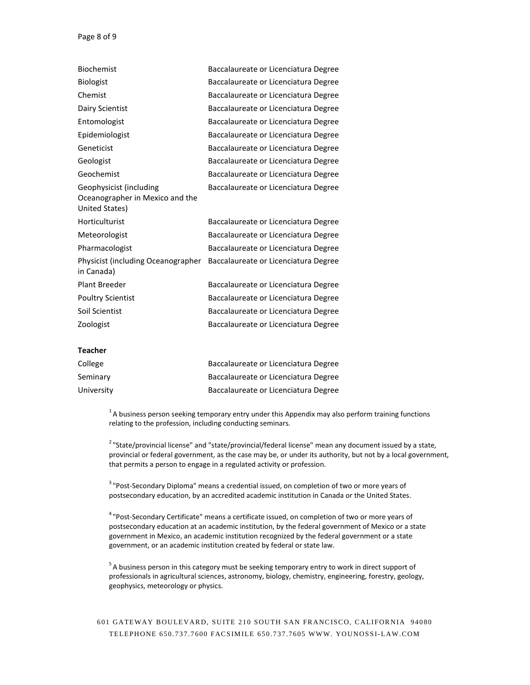| Biochemist                                                                   | Baccalaureate or Licenciatura Degree |
|------------------------------------------------------------------------------|--------------------------------------|
| Biologist                                                                    | Baccalaureate or Licenciatura Degree |
| Chemist                                                                      | Baccalaureate or Licenciatura Degree |
| Dairy Scientist                                                              | Baccalaureate or Licenciatura Degree |
| Entomologist                                                                 | Baccalaureate or Licenciatura Degree |
| Epidemiologist                                                               | Baccalaureate or Licenciatura Degree |
| Geneticist                                                                   | Baccalaureate or Licenciatura Degree |
| Geologist                                                                    | Baccalaureate or Licenciatura Degree |
| Geochemist                                                                   | Baccalaureate or Licenciatura Degree |
| Geophysicist (including<br>Oceanographer in Mexico and the<br>United States) | Baccalaureate or Licenciatura Degree |
| Horticulturist                                                               | Baccalaureate or Licenciatura Degree |
| Meteorologist                                                                | Baccalaureate or Licenciatura Degree |
| Pharmacologist                                                               | Baccalaureate or Licenciatura Degree |
| Physicist (including Oceanographer<br>in Canada)                             | Baccalaureate or Licenciatura Degree |
| Plant Breeder                                                                | Baccalaureate or Licenciatura Degree |
| <b>Poultry Scientist</b>                                                     | Baccalaureate or Licenciatura Degree |
| Soil Scientist                                                               | Baccalaureate or Licenciatura Degree |
| Zoologist                                                                    | Baccalaureate or Licenciatura Degree |
|                                                                              |                                      |

#### **Teacher**

| College    | Baccalaureate or Licenciatura Degree |
|------------|--------------------------------------|
| Seminary   | Baccalaureate or Licenciatura Degree |
| University | Baccalaureate or Licenciatura Degree |

 $1A$  business person seeking temporary entry under this Appendix may also perform training functions relating to the profession, including conducting seminars.

<sup>2</sup> "State/provincial license" and "state/provincial/federal license" mean any document issued by a state, provincial or federal government, as the case may be, or under its authority, but not by a local government, that permits a person to engage in a regulated activity or profession.

<sup>3</sup> "Post-Secondary Diploma" means a credential issued, on completion of two or more years of postsecondary education, by an accredited academic institution in Canada or the United States.

<sup>4</sup> "Post-Secondary Certificate" means a certificate issued, on completion of two or more years of postsecondary education at an academic institution, by the federal government of Mexico or a state government in Mexico, an academic institution recognized by the federal government or a state government, or an academic institution created by federal or state law.

<sup>5</sup> A business person in this category must be seeking temporary entry to work in direct support of professionals in agricultural sciences, astronomy, biology, chemistry, engineering, forestry, geology, geophysics, meteorology or physics.

601 GATEWAY BOULEVARD, SUITE 210 SOUTH SAN FRANCISCO, CALIFORNIA 94080 TELEPHONE 650.737.7600 FACSIMILE 650.737 .7605 WWW. YOUNOSSI-LAW.COM